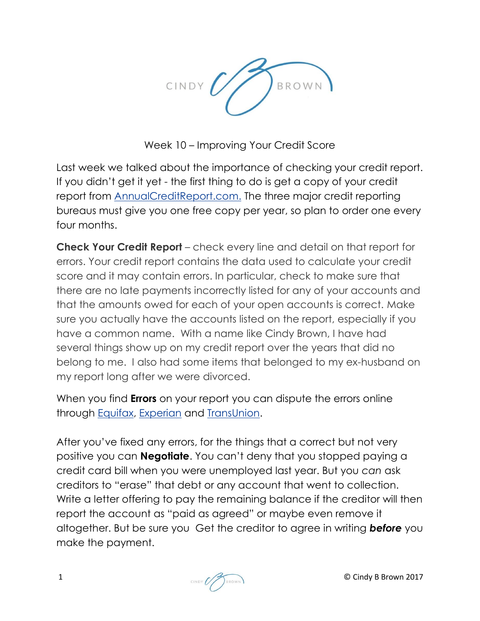

Week 10 – Improving Your Credit Score

Last week we talked about the importance of checking your credit report. If you didn't get it yet - the first thing to do is get a copy of your credit report from [AnnualCreditReport.com.](https://www.annualcreditreport.com/cra/index.jsp) The three major credit reporting bureaus must give you one free copy per year, so plan to order one every four months.

**Check Your Credit Report** – check every line and detail on that report for errors. Your credit report contains the data used to calculate your credit score and it may contain errors. In particular, check to make sure that there are no late payments incorrectly listed for any of your accounts and that the amounts owed for each of your open accounts is correct. Make sure you actually have the accounts listed on the report, especially if you have a common name. With a name like Cindy Brown, I have had several things show up on my credit report over the years that did no belong to me. I also had some items that belonged to my ex-husband on my report long after we were divorced.

When you find **Errors** on your report you can dispute the errors online through [Equifax,](http://www.equifax.com/answers/correct-credit-report-errors/en_cp) [Experian](http://www.experian.com/disputes/main.html) and [TransUnion.](http://www.transunion.com/personal-credit/credit-disputes/credit-disputes.page)

After you've fixed any errors, for the things that a correct but not very positive you can **Negotiate**. You can't deny that you stopped paying a credit card bill when you were unemployed last year. But you *can* ask creditors to "erase" that debt or any account that went to collection. Write a letter offering to pay the remaining balance if the creditor will then report the account as "paid as agreed" or maybe even remove it altogether. But be sure you Get the creditor to agree in writing *before* you make the payment.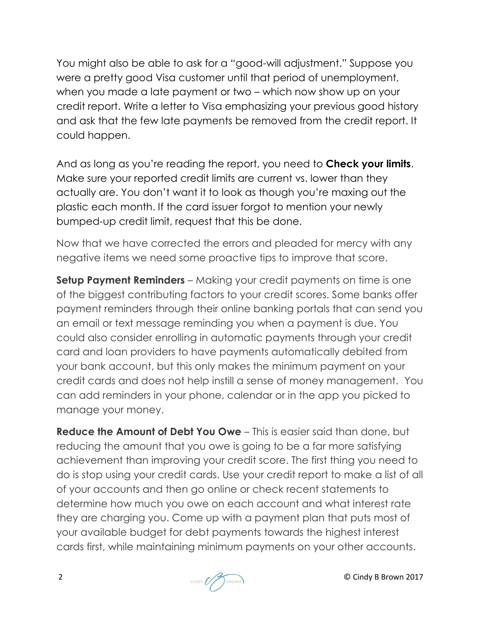You might also be able to ask for a "good-will adjustment." Suppose you were a pretty good Visa customer until that period of unemployment, when you made a late payment or two – which now show up on your credit report. Write a letter to Visa emphasizing your previous good history and ask that the few late payments be removed from the credit report. It could happen.

And as long as you're reading the report, you need to **Check your limits**. Make sure your reported credit limits are current vs. lower than they actually are. You don't want it to look as though you're maxing out the plastic each month. If the card issuer forgot to mention your newly bumped-up credit limit, request that this be done.

Now that we have corrected the errors and pleaded for mercy with any negative items we need some proactive tips to improve that score.

**Setup Payment Reminders** – Making your credit payments on time is one of the biggest contributing factors to your credit scores. Some banks offer payment reminders through their online banking portals that can send you an email or text message reminding you when a payment is due. You could also consider enrolling in automatic payments through your credit card and loan providers to have payments automatically debited from your bank account, but this only makes the minimum payment on your credit cards and does not help instill a sense of money management. You can add reminders in your phone, calendar or in the app you picked to manage your money.

**Reduce the Amount of Debt You Owe** – This is easier said than done, but reducing the amount that you owe is going to be a far more satisfying achievement than improving your credit score. The first thing you need to do is stop using your credit cards. Use your credit report to make a list of all of your accounts and then go online or check recent statements to determine how much you owe on each account and what interest rate they are charging you. Come up with a payment plan that puts most of your available budget for debt payments towards the highest interest cards first, while maintaining minimum payments on your other accounts.

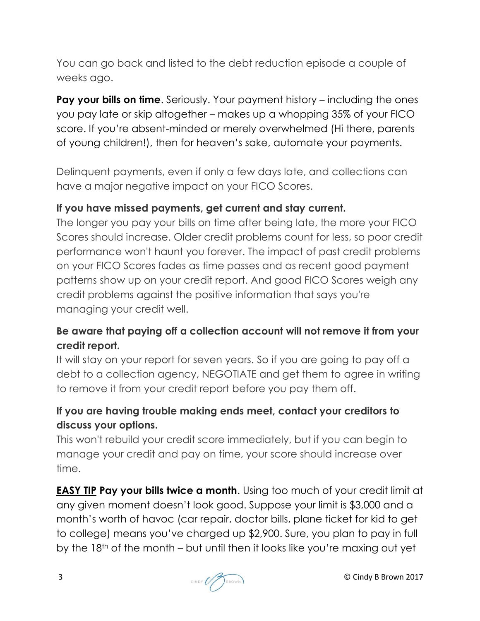You can go back and listed to the debt reduction episode a couple of weeks ago.

**Pay your bills on time.** Seriously. Your payment history – including the ones you pay late or skip altogether – makes up a whopping 35% of your FICO score. If you're absent-minded or merely overwhelmed (Hi there, parents of young children!), then for heaven's sake, automate your payments.

Delinquent payments, even if only a few days late, and collections can have a major negative impact on your FICO Scores.

#### **If you have missed payments, get current and stay current.**

The longer you pay your bills on time after being late, the more your FICO Scores should increase. Older credit problems count for less, so poor credit performance won't haunt you forever. The impact of past credit problems on your FICO Scores fades as time passes and as recent good payment patterns show up on your credit report. And good FICO Scores weigh any credit problems against the positive information that says you're managing your credit well.

### **Be aware that paying off a collection account will not remove it from your credit report.**

It will stay on your report for seven years. So if you are going to pay off a debt to a collection agency, NEGOTIATE and get them to agree in writing to remove it from your credit report before you pay them off.

## **If you are having trouble making ends meet, contact your creditors to discuss your options.**

This won't rebuild your credit score immediately, but if you can begin to manage your credit and pay on time, your score should increase over time.

**EASY TIP Pay your bills twice a month**. Using too much of your credit limit at any given moment doesn't look good. Suppose your limit is \$3,000 and a month's worth of havoc (car repair, doctor bills, plane ticket for kid to get to college) means you've charged up \$2,900. Sure, you plan to pay in full by the 18th of the month – but until then it looks like you're maxing out yet

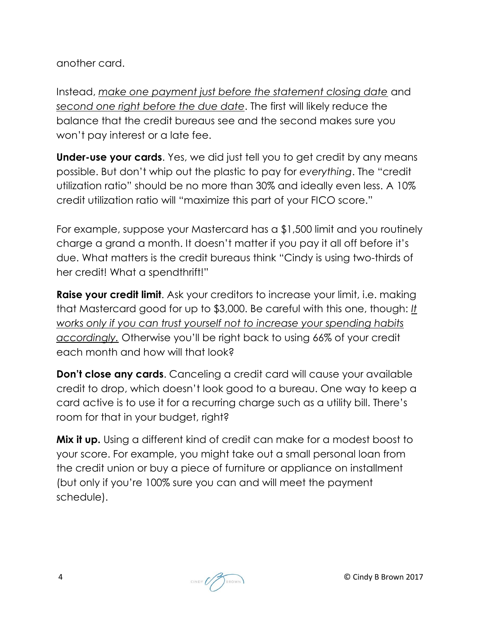another card.

Instead, *make one payment just before the statement closing date* and *second one right before the due date*. The first will likely reduce the balance that the credit bureaus see and the second makes sure you won't pay interest or a late fee.

**Under-use your cards**. Yes, we did just tell you to get credit by any means possible. But don't whip out the plastic to pay for *everything*. The "credit utilization ratio" should be no more than 30% and ideally even less. A 10% credit utilization ratio will "maximize this part of your FICO score."

For example, suppose your Mastercard has a \$1,500 limit and you routinely charge a grand a month. It doesn't matter if you pay it all off before it's due. What matters is the credit bureaus think "Cindy is using two-thirds of her credit! What a spendthrift!"

**Raise your credit limit.** Ask your creditors to increase your limit, i.e. making that Mastercard good for up to \$3,000. Be careful with this one, though: *It works only if you can trust yourself not to increase your spending habits accordingly.* Otherwise you'll be right back to using 66% of your credit each month and how will that look?

**Don't close any cards**. Canceling a credit card will cause your available credit to drop, which doesn't look good to a bureau. One way to keep a card active is to use it for a recurring charge such as a utility bill. There's room for that in your budget, right?

**Mix it up.** Using a different kind of credit can make for a modest boost to your score. For example, you might take out a small personal loan from the credit union or buy a piece of furniture or appliance on installment (but only if you're 100% sure you can and will meet the payment schedule).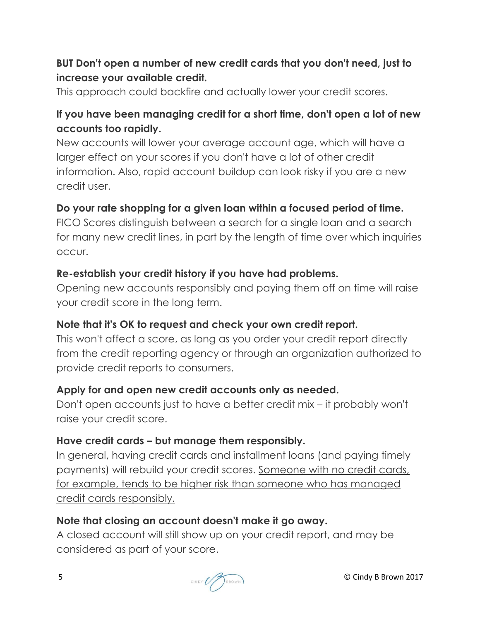### **BUT Don't open a number of new credit cards that you don't need, just to increase your available credit.**

This approach could backfire and actually lower your credit scores.

# **If you have been managing credit for a short time, don't open a lot of new accounts too rapidly.**

New accounts will lower your average account age, which will have a larger effect on your scores if you don't have a lot of other credit information. Also, rapid account buildup can look risky if you are a new credit user.

### **Do your rate shopping for a given loan within a focused period of time.**

FICO Scores distinguish between a search for a single loan and a search for many new credit lines, in part by the length of time over which inquiries occur.

#### **Re-establish your credit history if you have had problems.**

Opening new accounts responsibly and paying them off on time will raise your credit score in the long term.

### **Note that it's OK to request and check your own credit report.**

This won't affect a score, as long as you order your credit report directly from the credit reporting agency or through an organization authorized to provide credit reports to consumers.

### **Apply for and open new credit accounts only as needed.**

Don't open accounts just to have a better credit mix – it probably won't raise your credit score.

### **Have credit cards – but manage them responsibly.**

In general, having credit cards and installment loans (and paying timely payments) will rebuild your credit scores. Someone with no credit cards, for example, tends to be higher risk than someone who has managed credit cards responsibly.

### **Note that closing an account doesn't make it go away.**

A closed account will still show up on your credit report, and may be considered as part of your score.